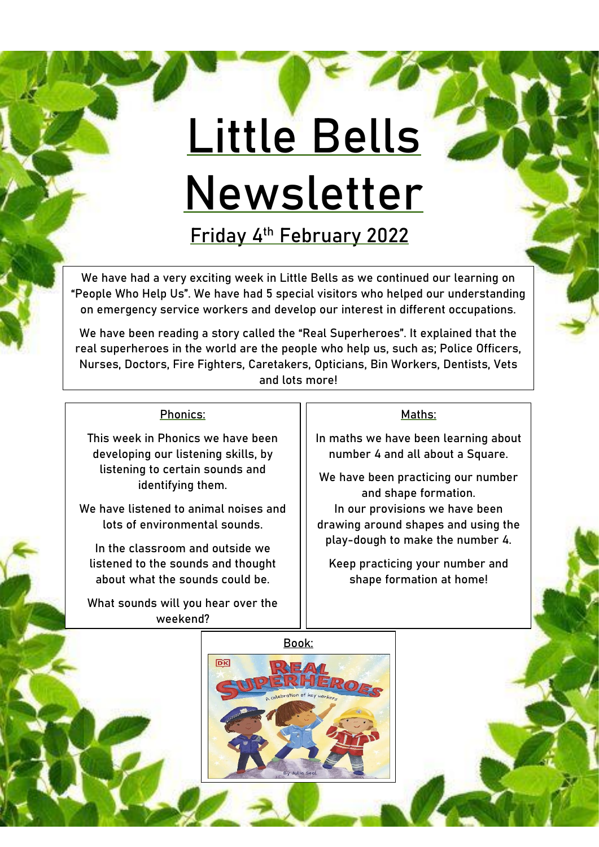## **Little Bells Newsletter**

**Friday 4th February 2022**

We have had a very exciting week in Little Bells as we continued our learning on "People Who Help Us". We have had 5 special visitors who helped our understanding on emergency service workers and develop our interest in different occupations.

We have been reading a story called the "Real Superheroes". It explained that the real superheroes in the world are the people who help us, such as; Police Officers, Nurses, Doctors, Fire Fighters, Caretakers, Opticians, Bin Workers, Dentists, Vets and lots more!

## Phonics:

This week in Phonics we have been developing our listening skills, by listening to certain sounds and identifying them.

We have listened to animal noises and lots of environmental sounds.

In the classroom and outside we listened to the sounds and thought about what the sounds could be.

What sounds will you hear over the weekend?

## Maths:

In maths we have been learning about number 4 and all about a Square.

We have been practicing our number and shape formation. In our provisions we have been drawing around shapes and using the play-dough to make the number 4.

Keep practicing your number and shape formation at home!